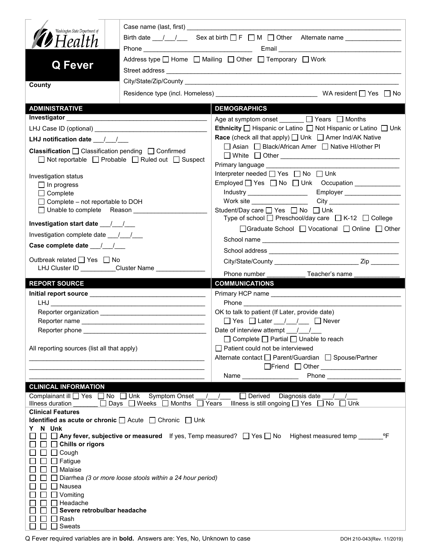| Washington State Department of                                                                                            |                                                                                            |                                                                                                                                                                                                                                                                                  |  |
|---------------------------------------------------------------------------------------------------------------------------|--------------------------------------------------------------------------------------------|----------------------------------------------------------------------------------------------------------------------------------------------------------------------------------------------------------------------------------------------------------------------------------|--|
| <b>D</b> Health                                                                                                           | Birth date $\frac{1}{\sqrt{2}}$ Sex at birth $\Box$ F $\Box$ M $\Box$ Other Alternate name |                                                                                                                                                                                                                                                                                  |  |
|                                                                                                                           |                                                                                            |                                                                                                                                                                                                                                                                                  |  |
| <b>Q</b> Fever                                                                                                            |                                                                                            | Address type □ Home □ Mailing □ Other □ Temporary □ Work                                                                                                                                                                                                                         |  |
|                                                                                                                           |                                                                                            |                                                                                                                                                                                                                                                                                  |  |
| County                                                                                                                    |                                                                                            |                                                                                                                                                                                                                                                                                  |  |
|                                                                                                                           |                                                                                            |                                                                                                                                                                                                                                                                                  |  |
| <b>ADMINISTRATIVE</b>                                                                                                     |                                                                                            | <b>DEMOGRAPHICS</b>                                                                                                                                                                                                                                                              |  |
|                                                                                                                           |                                                                                            | Age at symptom onset _______ □ Years □ Months                                                                                                                                                                                                                                    |  |
|                                                                                                                           |                                                                                            | <b>Ethnicity</b> $\Box$ Hispanic or Latino $\Box$ Not Hispanic or Latino $\Box$ Unk                                                                                                                                                                                              |  |
| LHJ notification date $\frac{1}{\sqrt{2}}$                                                                                |                                                                                            | <b>Race</b> (check all that apply) $\Box$ Unk $\Box$ Amer Ind/AK Native                                                                                                                                                                                                          |  |
| <b>Classification</b> $\Box$ Classification pending $\Box$ Confirmed<br>□ Not reportable □ Probable □ Ruled out □ Suspect |                                                                                            | □ Asian □ Black/African Amer □ Native HI/other PI                                                                                                                                                                                                                                |  |
|                                                                                                                           |                                                                                            | □ White □ Other <u>___________________________________</u><br>Primary language ___________                                                                                                                                                                                       |  |
|                                                                                                                           |                                                                                            | Interpreter needed $\Box$ Yes $\Box$ No $\Box$ Unk                                                                                                                                                                                                                               |  |
| Investigation status<br>$\Box$ In progress                                                                                |                                                                                            | Employed $\Box$ Yes $\Box$ No $\Box$ Unk Occupation                                                                                                                                                                                                                              |  |
| $\Box$ Complete                                                                                                           |                                                                                            | Employer<br>Industry _____________________                                                                                                                                                                                                                                       |  |
| $\Box$ Complete – not reportable to DOH                                                                                   |                                                                                            | Work site __________________                                                                                                                                                                                                                                                     |  |
| □ Unable to complete Reason ______________                                                                                |                                                                                            | Student/Day care □ Yes □ No □ Unk                                                                                                                                                                                                                                                |  |
|                                                                                                                           |                                                                                            | Type of school □ Preschool/day care □ K-12 □ College                                                                                                                                                                                                                             |  |
| Investigation complete date 11                                                                                            |                                                                                            | □ Graduate School □ Vocational □ Online □ Other                                                                                                                                                                                                                                  |  |
|                                                                                                                           |                                                                                            |                                                                                                                                                                                                                                                                                  |  |
|                                                                                                                           |                                                                                            |                                                                                                                                                                                                                                                                                  |  |
| Outbreak related □ Yes □ No                                                                                               | LHJ Cluster ID Cluster Name                                                                | Phone number                                                                                                                                                                                                                                                                     |  |
|                                                                                                                           |                                                                                            | Teacher's name                                                                                                                                                                                                                                                                   |  |
|                                                                                                                           |                                                                                            |                                                                                                                                                                                                                                                                                  |  |
| <b>REPORT SOURCE</b>                                                                                                      |                                                                                            | <b>COMMUNICATIONS</b>                                                                                                                                                                                                                                                            |  |
|                                                                                                                           |                                                                                            |                                                                                                                                                                                                                                                                                  |  |
|                                                                                                                           |                                                                                            | Phone experience and the contract of the contract of the contract of the contract of the contract of the contract of the contract of the contract of the contract of the contract of the contract of the contract of the contr<br>OK to talk to patient (If Later, provide date) |  |
|                                                                                                                           |                                                                                            |                                                                                                                                                                                                                                                                                  |  |
| Reporter phone                                                                                                            |                                                                                            | Date of interview attempt / /                                                                                                                                                                                                                                                    |  |
|                                                                                                                           |                                                                                            | $\Box$ Complete $\Box$ Partial $\Box$ Unable to reach                                                                                                                                                                                                                            |  |
| All reporting sources (list all that apply)                                                                               |                                                                                            | Patient could not be interviewed                                                                                                                                                                                                                                                 |  |
|                                                                                                                           |                                                                                            | Alternate contact □ Parent/Guardian □ Spouse/Partner                                                                                                                                                                                                                             |  |
|                                                                                                                           |                                                                                            |                                                                                                                                                                                                                                                                                  |  |
|                                                                                                                           |                                                                                            | <b>Phone Contract Contract Contract Contract Contract Contract Contract Contract Contract Contract Contract Contract Contract Contract Contract Contract Contract Contract Contract Contract Contract Contract Contract Contra</b><br>Name <b>Name</b>                           |  |
| <b>CLINICAL INFORMATION</b>                                                                                               |                                                                                            |                                                                                                                                                                                                                                                                                  |  |
| Complainant ill □ Yes □ No □ Unk Symptom Onset                                                                            |                                                                                            | $\Box$ Derived Diagnosis date /<br>$\sqrt{2}$                                                                                                                                                                                                                                    |  |
| Illness duration                                                                                                          | $\Box$ Days $\Box$ Weeks $\Box$ Months<br>$\Box$ Years                                     | Illness is still ongoing $\Box$ Yes $\Box$ No<br>$\Box$ Unk                                                                                                                                                                                                                      |  |
| <b>Clinical Features</b>                                                                                                  |                                                                                            |                                                                                                                                                                                                                                                                                  |  |
| N Unk<br>Y.                                                                                                               | <b>Identified as acute or chronic</b> $\Box$ Acute $\Box$ Chronic $\Box$ Unk               |                                                                                                                                                                                                                                                                                  |  |
|                                                                                                                           |                                                                                            | □ □ Any fever, subjective or measured If yes, Temp measured? □ Yes □ No Highest measured temp _____<br>°F                                                                                                                                                                        |  |
| □ Chills or rigors                                                                                                        |                                                                                            |                                                                                                                                                                                                                                                                                  |  |
| $\Box$ Cough                                                                                                              |                                                                                            |                                                                                                                                                                                                                                                                                  |  |
| $\Box$ Fatigue<br>$\Box$ Malaise                                                                                          |                                                                                            |                                                                                                                                                                                                                                                                                  |  |
|                                                                                                                           | $\Box$ Diarrhea (3 or more loose stools within a 24 hour period)                           |                                                                                                                                                                                                                                                                                  |  |
| <b>□</b> Nausea                                                                                                           |                                                                                            |                                                                                                                                                                                                                                                                                  |  |
| $\Box$ Vomiting                                                                                                           |                                                                                            |                                                                                                                                                                                                                                                                                  |  |
| Headache                                                                                                                  |                                                                                            |                                                                                                                                                                                                                                                                                  |  |
| Severe retrobulbar headache<br>Rash                                                                                       |                                                                                            |                                                                                                                                                                                                                                                                                  |  |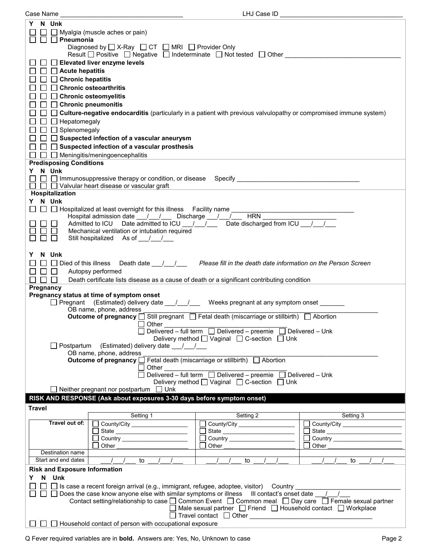Case Name \_\_\_\_\_\_\_\_\_\_\_\_\_\_\_\_\_\_\_\_\_\_\_\_\_\_\_\_\_\_\_\_\_\_\_ LHJ Case ID \_\_\_\_\_\_\_\_\_\_\_\_\_\_\_\_\_\_\_\_\_\_\_\_\_\_\_\_\_\_\_\_\_\_\_ **Y N Unk**   $\Box$   $\Box$  Myalgia (muscle aches or pain)  $\Box$   $\Box$  Pneumonia Diagnosed by  $\Box$  X-Ray  $\Box$  CT  $\Box$  MRI  $\Box$  Provider Only Result  $\Box$  Positive  $\Box$  Negative  $\Box$  Indeterminate  $\Box$  Not tested  $\Box$  Other **Elevated liver enzyme levels Acute hepatitis Chronic hepatitis Chronic osteoarthritis Chronic osteomyelitis Chronic pneumonitis Culture-negative endocarditis** (particularly in a patient with previous valvulopathy or compromised immune system)  $\Box$   $\Box$  Hepatomegaly  $\Box$   $\Box$  Splenomegaly **Suspected infection of a vascular aneurysm Suspected infection of a vascular prosthesis**  $\Box$   $\Box$  Meningitis/meningoencephalitis **Predisposing Conditions Y N Unk**   $\Box$   $\Box$  Immunosuppressive therapy or condition, or disease Specify  $\square \ \square \ \square$  Valvular heart disease or vascular graft **Hospitalization Y N Unk**  Hospitalized at least overnight for this illness Facility name \_\_\_\_\_\_\_\_\_\_\_\_\_\_\_\_\_\_\_\_\_\_\_\_\_\_\_\_\_\_\_\_\_\_\_ Hospital admission date  $\frac{1}{\sqrt{1-\frac{1}{2}}}$  Discharge  $\frac{1}{\sqrt{1-\frac{1}{2}}}$  $\Box$  Admitted to ICU Date admitted to ICU  $\_\_\_\_\_\_\_\_\_\_\_\_\_\_\_\_\_\_\_$ Date discharged from ICU  $\_\_\_\_\_\_\_\_\_\_\_\_\_\_$  $\Box$  Mechanical ventilation or intubation required<br> $\Box$  Still hospitalized As of / / Still hospitalized As of / / **Y N Unk**  □ □ Died of this illness Death date \_\_\_/\_\_\_\_ *Please fill in the death date information on the Person Screen*  $\Box$   $\Box$  Autopsy performed  $\Box$   $\Box$  Death certificate lists disease as a cause of death or a significant contributing condition **Pregnancy Pregnancy status at time of symptom onset**   $\Box$  Pregnant (Estimated) delivery date  $\angle$  /  $\angle$  Weeks pregnant at any symptom onset  $\Box$ <br>OB name, phone, address OB name, phone, address \_\_\_\_\_\_\_\_\_\_\_\_\_\_\_\_\_\_\_\_\_\_\_\_\_\_\_\_\_\_\_\_\_\_\_\_\_\_\_\_\_\_\_\_\_\_\_\_\_\_\_\_\_\_\_\_\_\_\_\_\_\_\_\_\_\_\_ **Outcome of pregnancy**  $\bigsqcup$  **Still pregnant**  $\bigsqcup$  **Fetal death (miscarriage or stillbirth)**  $\bigsqcup$  **Abortion**  $\Box$  Other  $\Box$  $\Box$  Delivered – full term  $\Box$  Delivered – preemie  $\Box$  Delivered – Unk Delivery method  $\Box$  Vaginal  $\Box$  C-section  $\Box$  Unk  $\Box$  Postpartum (Estimated) delivery date  $\Box$ OB name, phone, address **Outcome of pregnancy**  $\Box$  Fetal death (miscarriage or stillbirth)  $\Box$  Abortion Other \_\_\_\_\_\_\_\_\_\_\_\_\_\_\_\_\_\_\_\_\_\_\_\_\_\_\_\_\_\_\_\_\_\_\_ Delivered – full term Delivered – preemie Delivered – Unk Delivery method  $\Box$  Vaginal  $\Box$  C-section  $\Box$  Unk  $\Box$  Neither pregnant nor postpartum  $\Box$  Unk **RISK AND RESPONSE (Ask about exposures 3-30 days before symptom onset) Travel** Setting 1 Setting 2 Setting 2 Setting 3 Setting 3 Travel out of:  $\Box$  County/City  $\Box$  State  $\Box$  Country  $\Box$  Other  $\Box$  County/City  $\Box$  State  $\Box$  Country  $\Box$  Other  $\Box$  County/City  $\Box$  State  $\Box$  Country  $\Box$  Other Destination name Start and end dates \_\_\_/\_\_\_/\_\_\_ to \_\_\_/\_\_\_/\_\_\_ \_\_\_/\_\_\_/\_\_\_ to \_\_\_/\_\_\_/\_\_\_ \_\_\_/\_\_\_/\_\_\_ to \_\_\_/\_\_\_/\_\_\_ **Risk and Exposure Information Y N Unk**   $\Box$   $\Box$  Is case a recent foreign arrival (e.g., immigrant, refugee, adoptee, visitor) Country  $\square \square \square$  Does the case know anyone else with similar symptoms or illness III contact's onset date  $\qquad \qquad /$ Contact setting/relationship to case  $\Box$  Common Event  $\Box$  Common meal  $\Box$  Day care  $\Box$  Female sexual partner  $\Box$  Male sexual partner  $\Box$  Friend  $\Box$  Household contact  $\Box$  Workplace  $\Box$  Travel contact  $\Box$  Other  $\Box$  $\Box$   $\Box$  Household contact of person with occupational exposure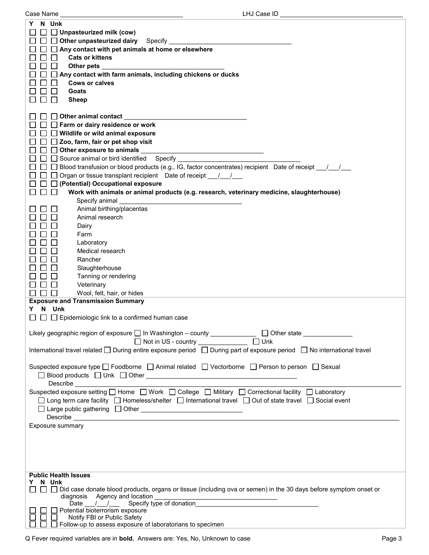| LHJ Case ID<br>Case Name                                                                                                           |  |  |
|------------------------------------------------------------------------------------------------------------------------------------|--|--|
| N Unk<br>Y                                                                                                                         |  |  |
| $\Box$ Unpasteurized milk (cow)                                                                                                    |  |  |
| $\Box$ Other unpasteurized dairy<br>$\sf{Specify}$                                                                                 |  |  |
| $\Box$ Any contact with pet animals at home or elsewhere                                                                           |  |  |
|                                                                                                                                    |  |  |
| <b>Cats or kittens</b>                                                                                                             |  |  |
| Other pets                                                                                                                         |  |  |
| Any contact with farm animals, including chickens or ducks                                                                         |  |  |
| <b>Cows or calves</b>                                                                                                              |  |  |
| Goats                                                                                                                              |  |  |
| <b>Sheep</b>                                                                                                                       |  |  |
|                                                                                                                                    |  |  |
|                                                                                                                                    |  |  |
| $\Box$ Other animal contact $\Box$                                                                                                 |  |  |
| $\Box$ Farm or dairy residence or work                                                                                             |  |  |
| $\Box$ Wildlife or wild animal exposure                                                                                            |  |  |
| $\Box$ Zoo, farm, fair or pet shop visit                                                                                           |  |  |
| $\Box$ Other exposure to animals $\Box$<br>the control of the control of the control of the control of                             |  |  |
| $\Box$ Source animal or bird identified Specify                                                                                    |  |  |
| $\Box$ Blood transfusion or blood products (e.g., IG, factor concentrates) recipient Date of receipt $\Box$                        |  |  |
| $\Box$ Organ or tissue transplant recipient Date of receipt $\Box$                                                                 |  |  |
|                                                                                                                                    |  |  |
| $\Box$ (Potential) Occupational exposure                                                                                           |  |  |
| $\Box$<br>Work with animals or animal products (e.g. research, veterinary medicine, slaughterhouse)<br>$\perp$                     |  |  |
| Specify animal                                                                                                                     |  |  |
| Animal birthing/placentas                                                                                                          |  |  |
| Animal research                                                                                                                    |  |  |
| Dairy                                                                                                                              |  |  |
| Farm                                                                                                                               |  |  |
| Laboratory                                                                                                                         |  |  |
|                                                                                                                                    |  |  |
| Medical research                                                                                                                   |  |  |
| Rancher                                                                                                                            |  |  |
| Slaughterhouse                                                                                                                     |  |  |
| Tanning or rendering                                                                                                               |  |  |
| Veterinary                                                                                                                         |  |  |
| Wool, felt, hair, or hides                                                                                                         |  |  |
| <b>Exposure and Transmission Summary</b>                                                                                           |  |  |
| Y N Unk                                                                                                                            |  |  |
| $\Box$ $\Box$ Epidemiologic link to a confirmed human case                                                                         |  |  |
|                                                                                                                                    |  |  |
| Likely geographic region of exposure □ In Washington – county _______________ □ Other state _____________                          |  |  |
| $\Box$ Unk<br>Not in US - country _____________                                                                                    |  |  |
|                                                                                                                                    |  |  |
| International travel related □ During entire exposure period □ During part of exposure period □ No international travel            |  |  |
|                                                                                                                                    |  |  |
| Suspected exposure type □ Foodborne □ Animal related □ Vectorborne □ Person to person □ Sexual                                     |  |  |
|                                                                                                                                    |  |  |
|                                                                                                                                    |  |  |
| Suspected exposure setting □ Home □ Work □ College □ Military □ Correctional facility □ Laboratory                                 |  |  |
| □ Long term care facility □ Homeless/shelter □ International travel □ Out of state travel □ Social event                           |  |  |
|                                                                                                                                    |  |  |
|                                                                                                                                    |  |  |
| Exposure summary                                                                                                                   |  |  |
|                                                                                                                                    |  |  |
|                                                                                                                                    |  |  |
|                                                                                                                                    |  |  |
|                                                                                                                                    |  |  |
|                                                                                                                                    |  |  |
|                                                                                                                                    |  |  |
| <b>Public Health Issues</b>                                                                                                        |  |  |
| N Unk<br>Y                                                                                                                         |  |  |
| □ Did case donate blood products, organs or tissue (including ova or semen) in the 30 days before symptom onset or<br>$\mathbf{1}$ |  |  |
| diagnosis Agency and location                                                                                                      |  |  |
| Potential bioterrorism exposure                                                                                                    |  |  |
| Notify FBI or Public Safety                                                                                                        |  |  |

 $\Box$   $\Box$  Follow-up to assess exposure of laboratorians to specimen